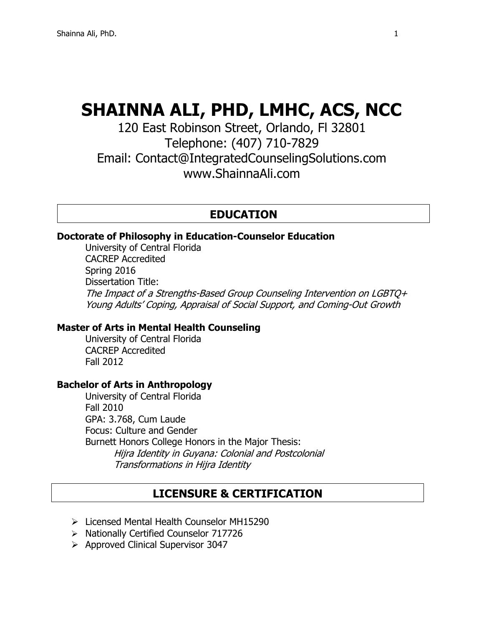# **SHAINNA ALI, PHD, LMHC, ACS, NCC**

120 East Robinson Street, Orlando, Fl 32801 Telephone: (407) 710-7829 Email: Contact@IntegratedCounselingSolutions.com www.ShainnaAli.com

### **EDUCATION**

#### **Doctorate of Philosophy in Education-Counselor Education**

University of Central Florida CACREP Accredited Spring 2016 Dissertation Title: The Impact of a Strengths-Based Group Counseling Intervention on LGBTQ+ Young Adults' Coping, Appraisal of Social Support, and Coming-Out Growth

#### **Master of Arts in Mental Health Counseling**

University of Central Florida CACREP Accredited Fall 2012

#### **Bachelor of Arts in Anthropology**

University of Central Florida Fall 2010 GPA: 3.768, Cum Laude Focus: Culture and Gender Burnett Honors College Honors in the Major Thesis: Hijra Identity in Guyana: Colonial and Postcolonial Transformations in Hijra Identity

# **LICENSURE & CERTIFICATION**

- Licensed Mental Health Counselor MH15290
- > Nationally Certified Counselor 717726
- ▶ Approved Clinical Supervisor 3047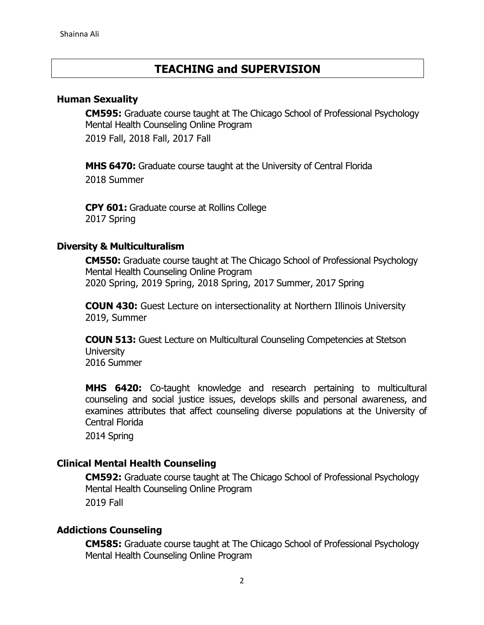# **TEACHING and SUPERVISION**

#### **Human Sexuality**

**CM595:** Graduate course taught at The Chicago School of Professional Psychology Mental Health Counseling Online Program 2019 Fall, 2018 Fall, 2017 Fall

**MHS 6470:** Graduate course taught at the University of Central Florida

2018 Summer

**CPY 601:** Graduate course at Rollins College 2017 Spring

#### **Diversity & Multiculturalism**

**CM550:** Graduate course taught at The Chicago School of Professional Psychology Mental Health Counseling Online Program 2020 Spring, 2019 Spring, 2018 Spring, 2017 Summer, 2017 Spring

**COUN 430:** Guest Lecture on intersectionality at Northern Illinois University 2019, Summer

**COUN 513:** Guest Lecture on Multicultural Counseling Competencies at Stetson **University** 2016 Summer

**MHS 6420:** Co-taught knowledge and research pertaining to multicultural counseling and social justice issues, develops skills and personal awareness, and examines attributes that affect counseling diverse populations at the University of Central Florida

2014 Spring

#### **Clinical Mental Health Counseling**

**CM592:** Graduate course taught at The Chicago School of Professional Psychology Mental Health Counseling Online Program 2019 Fall

#### **Addictions Counseling**

**CM585:** Graduate course taught at The Chicago School of Professional Psychology Mental Health Counseling Online Program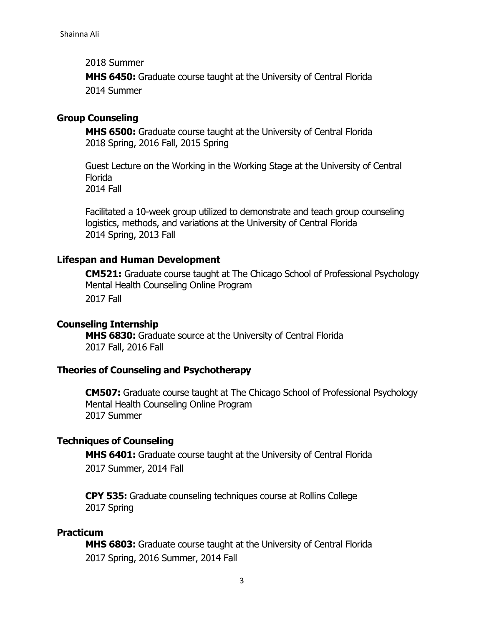#### 2018 Summer

**MHS 6450:** Graduate course taught at the University of Central Florida 2014 Summer

#### **Group Counseling**

**MHS 6500:** Graduate course taught at the University of Central Florida 2018 Spring, 2016 Fall, 2015 Spring

Guest Lecture on the Working in the Working Stage at the University of Central Florida 2014 Fall

Facilitated a 10-week group utilized to demonstrate and teach group counseling logistics, methods, and variations at the University of Central Florida 2014 Spring, 2013 Fall

#### **Lifespan and Human Development**

**CM521:** Graduate course taught at The Chicago School of Professional Psychology Mental Health Counseling Online Program 2017 Fall

#### **Counseling Internship**

**MHS 6830:** Graduate source at the University of Central Florida 2017 Fall, 2016 Fall

#### **Theories of Counseling and Psychotherapy**

**CM507:** Graduate course taught at The Chicago School of Professional Psychology Mental Health Counseling Online Program 2017 Summer

#### **Techniques of Counseling**

**MHS 6401:** Graduate course taught at the University of Central Florida 2017 Summer, 2014 Fall

**CPY 535:** Graduate counseling techniques course at Rollins College 2017 Spring

#### **Practicum**

**MHS 6803:** Graduate course taught at the University of Central Florida 2017 Spring, 2016 Summer, 2014 Fall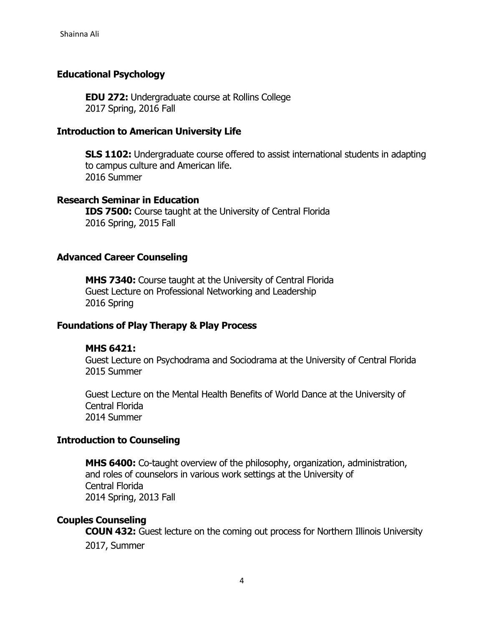#### **Educational Psychology**

**EDU 272:** Undergraduate course at Rollins College 2017 Spring, 2016 Fall

#### **Introduction to American University Life**

**SLS 1102:** Undergraduate course offered to assist international students in adapting to campus culture and American life. 2016 Summer

#### **Research Seminar in Education**

**IDS 7500:** Course taught at the University of Central Florida 2016 Spring, 2015 Fall

#### **Advanced Career Counseling**

**MHS 7340:** Course taught at the University of Central Florida Guest Lecture on Professional Networking and Leadership 2016 Spring

#### **Foundations of Play Therapy & Play Process**

#### **MHS 6421:**

Guest Lecture on Psychodrama and Sociodrama at the University of Central Florida 2015 Summer

Guest Lecture on the Mental Health Benefits of World Dance at the University of Central Florida 2014 Summer

#### **Introduction to Counseling**

**MHS 6400:** Co-taught overview of the philosophy, organization, administration, and roles of counselors in various work settings at the University of Central Florida 2014 Spring, 2013 Fall

#### **Couples Counseling**

**COUN 432:** Guest lecture on the coming out process for Northern Illinois University 2017, Summer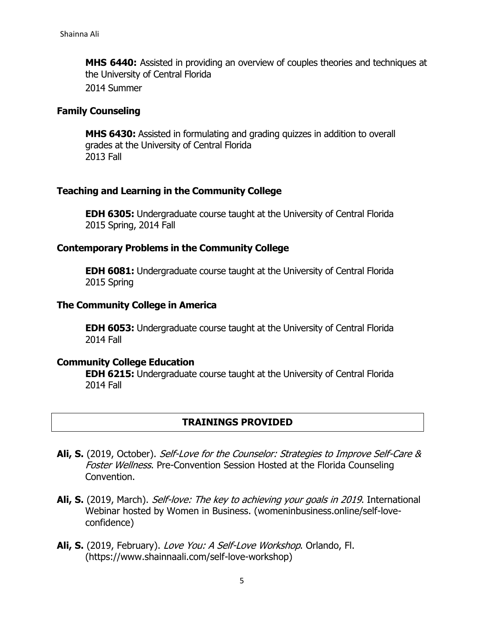**MHS 6440:** Assisted in providing an overview of couples theories and techniques at the University of Central Florida 2014 Summer

#### **Family Counseling**

**MHS 6430:** Assisted in formulating and grading quizzes in addition to overall grades at the University of Central Florida 2013 Fall

#### **Teaching and Learning in the Community College**

**EDH 6305:** Undergraduate course taught at the University of Central Florida 2015 Spring, 2014 Fall

#### **Contemporary Problems in the Community College**

**EDH 6081:** Undergraduate course taught at the University of Central Florida 2015 Spring

#### **The Community College in America**

**EDH 6053:** Undergraduate course taught at the University of Central Florida 2014 Fall

#### **Community College Education**

**EDH 6215:** Undergraduate course taught at the University of Central Florida 2014 Fall

#### **TRAININGS PROVIDED**

- **Ali, S.** (2019, October). Self-Love for the Counselor: Strategies to Improve Self-Care & Foster Wellness. Pre-Convention Session Hosted at the Florida Counseling Convention.
- **Ali, S.** (2019, March). Self-love: The key to achieving your goals in 2019. International Webinar hosted by Women in Business. (womeninbusiness.online/self-loveconfidence)
- **Ali, S.** (2019, February). Love You: A Self-Love Workshop. Orlando, Fl. (https://www.shainnaali.com/self-love-workshop)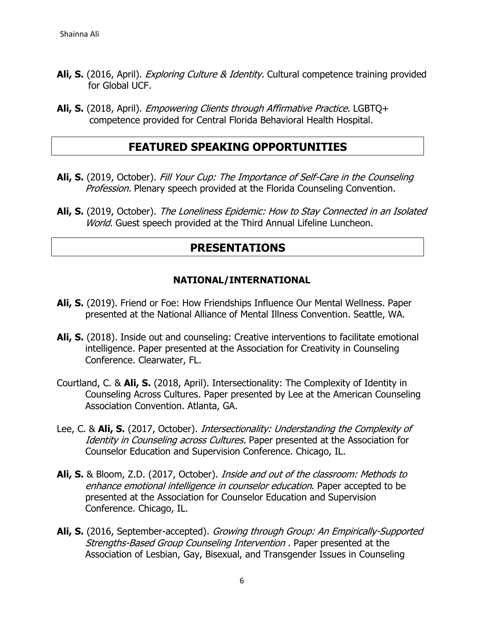- Ali, S. (2016, April). *Exploring Culture & Identity*. Cultural competence training provided for Global UCF.
- **Ali, S.** (2018, April). Empowering Clients through Affirmative Practice. LGBTQ+ competence provided for Central Florida Behavioral Health Hospital.

## **FEATURED SPEAKING OPPORTUNITIES**

- **Ali, S.** (2019, October). Fill Your Cup: The Importance of Self-Care in the Counseling Profession. Plenary speech provided at the Florida Counseling Convention.
- **Ali, S.** (2019, October). The Loneliness Epidemic: How to Stay Connected in an Isolated World. Guest speech provided at the Third Annual Lifeline Luncheon.

# **PRESENTATIONS**

#### **NATIONAL/INTERNATIONAL**

- **Ali, S.** (2019). Friend or Foe: How Friendships Influence Our Mental Wellness. Paper presented at the National Alliance of Mental Illness Convention. Seattle, WA.
- Ali, S. (2018). Inside out and counseling: Creative interventions to facilitate emotional intelligence. Paper presented at the Association for Creativity in Counseling Conference. Clearwater, FL.
- Courtland, C. & **Ali, S.** (2018, April). Intersectionality: The Complexity of Identity in Counseling Across Cultures. Paper presented by Lee at the American Counseling Association Convention. Atlanta, GA.
- Lee, C. & **Ali, S.** (2017, October). Intersectionality: Understanding the Complexity of Identity in Counseling across Cultures. Paper presented at the Association for Counselor Education and Supervision Conference. Chicago, IL.
- **Ali, S.** & Bloom, Z.D. (2017, October). Inside and out of the classroom: Methods to enhance emotional intelligence in counselor education. Paper accepted to be presented at the Association for Counselor Education and Supervision Conference. Chicago, IL.
- **Ali, S.** (2016, September-accepted). Growing through Group: An Empirically-Supported Strengths-Based Group Counseling Intervention . Paper presented at the Association of Lesbian, Gay, Bisexual, and Transgender Issues in Counseling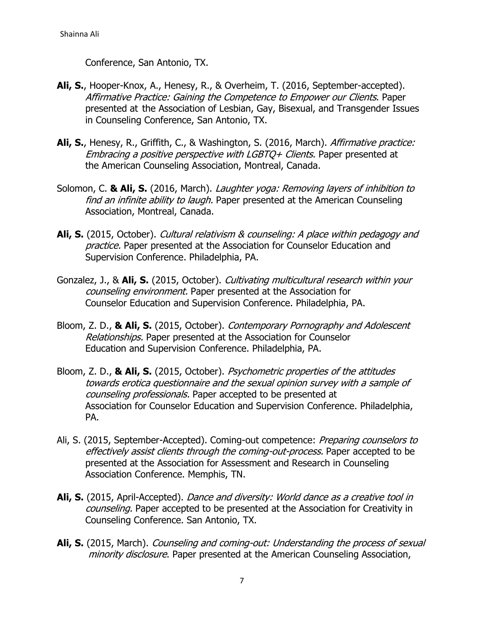Conference, San Antonio, TX.

- **Ali, S.**, Hooper-Knox, A., Henesy, R., & Overheim, T. (2016, September-accepted). Affirmative Practice: Gaining the Competence to Empower our Clients. Paper presented at the Association of Lesbian, Gay, Bisexual, and Transgender Issues in Counseling Conference, San Antonio, TX.
- **Ali, S.**, Henesy, R., Griffith, C., & Washington, S. (2016, March). Affirmative practice: Embracing a positive perspective with LGBTQ+ Clients. Paper presented at the American Counseling Association, Montreal, Canada.
- Solomon, C. **& Ali, S.** (2016, March). Laughter yoga: Removing layers of inhibition to find an infinite ability to laugh. Paper presented at the American Counseling Association, Montreal, Canada.
- **Ali, S.** (2015, October). Cultural relativism & counseling: A place within pedagogy and practice. Paper presented at the Association for Counselor Education and Supervision Conference. Philadelphia, PA.
- Gonzalez, J., & **Ali, S.** (2015, October). Cultivating multicultural research within your counseling environment. Paper presented at the Association for Counselor Education and Supervision Conference. Philadelphia, PA.
- Bloom, Z. D., **& Ali, S.** (2015, October). Contemporary Pornography and Adolescent Relationships. Paper presented at the Association for Counselor Education and Supervision Conference. Philadelphia, PA.
- Bloom, Z. D., **& Ali, S.** (2015, October). Psychometric properties of the attitudes towards erotica questionnaire and the sexual opinion survey with a sample of counseling professionals. Paper accepted to be presented at Association for Counselor Education and Supervision Conference. Philadelphia, PA.
- Ali, S. (2015, September-Accepted). Coming-out competence: Preparing counselors to effectively assist clients through the coming-out-process. Paper accepted to be presented at the Association for Assessment and Research in Counseling Association Conference. Memphis, TN.
- **Ali, S.** (2015, April-Accepted). Dance and diversity: World dance as a creative tool in counseling. Paper accepted to be presented at the Association for Creativity in Counseling Conference. San Antonio, TX.
- **Ali, S.** (2015, March). Counseling and coming-out: Understanding the process of sexual minority disclosure. Paper presented at the American Counseling Association,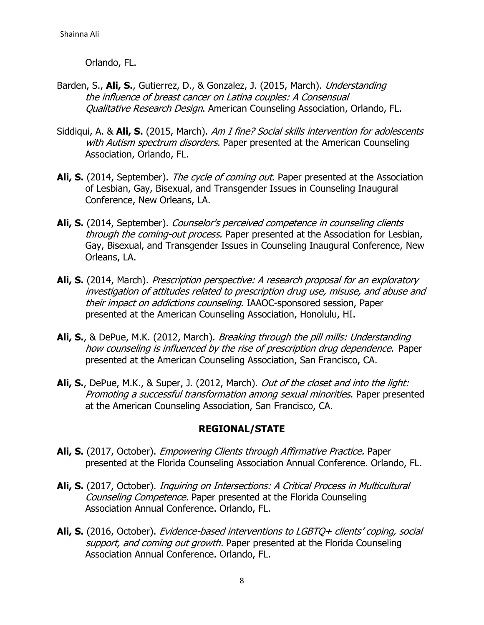Orlando, FL.

- Barden, S., **Ali, S.**, Gutierrez, D., & Gonzalez, J. (2015, March). Understanding the influence of breast cancer on Latina couples: A Consensual Qualitative Research Design. American Counseling Association, Orlando, FL.
- Siddiqui, A. & **Ali, S.** (2015, March). Am I fine? Social skills intervention for adolescents with Autism spectrum disorders. Paper presented at the American Counseling Association, Orlando, FL.
- **Ali, S.** (2014, September). *The cycle of coming out*. Paper presented at the Association of Lesbian, Gay, Bisexual, and Transgender Issues in Counseling Inaugural Conference, New Orleans, LA.
- Ali, S. (2014, September). *Counselor's perceived competence in counseling clients* through the coming-out process. Paper presented at the Association for Lesbian, Gay, Bisexual, and Transgender Issues in Counseling Inaugural Conference, New Orleans, LA.
- Ali, S. (2014, March). *Prescription perspective: A research proposal for an exploratory* investigation of attitudes related to prescription drug use, misuse, and abuse and their impact on addictions counseling. IAAOC-sponsored session, Paper presented at the American Counseling Association, Honolulu, HI.
- **Ali, S.**, & DePue, M.K. (2012, March). Breaking through the pill mills: Understanding how counseling is influenced by the rise of prescription drug dependence. Paper presented at the American Counseling Association, San Francisco, CA.
- **Ali, S.**, DePue, M.K., & Super, J. (2012, March). Out of the closet and into the light: Promoting a successful transformation among sexual minorities. Paper presented at the American Counseling Association, San Francisco, CA.

#### **REGIONAL/STATE**

- **Ali, S.** (2017, October). Empowering Clients through Affirmative Practice. Paper presented at the Florida Counseling Association Annual Conference. Orlando, FL.
- **Ali, S.** (2017, October). Inquiring on Intersections: A Critical Process in Multicultural Counseling Competence. Paper presented at the Florida Counseling Association Annual Conference. Orlando, FL.
- **Ali, S.** (2016, October). Evidence-based interventions to LGBTQ+ clients' coping, social support, and coming out growth. Paper presented at the Florida Counseling Association Annual Conference. Orlando, FL.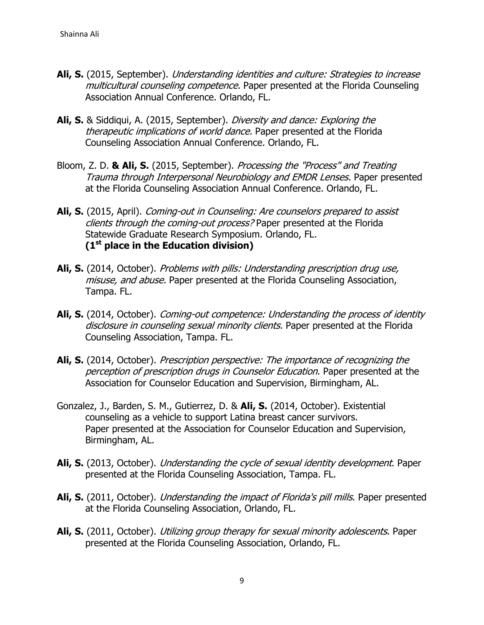- **Ali, S.** (2015, September). Understanding identities and culture: Strategies to increase multicultural counseling competence. Paper presented at the Florida Counseling Association Annual Conference. Orlando, FL.
- **Ali, S.** & Siddiqui, A. (2015, September). Diversity and dance: Exploring the therapeutic implications of world dance. Paper presented at the Florida Counseling Association Annual Conference. Orlando, FL.
- Bloom, Z. D. **& Ali, S.** (2015, September). Processing the "Process" and Treating Trauma through Interpersonal Neurobiology and EMDR Lenses. Paper presented at the Florida Counseling Association Annual Conference. Orlando, FL.
- **Ali, S.** (2015, April). Coming-out in Counseling: Are counselors prepared to assist clients through the coming-out process? Paper presented at the Florida Statewide Graduate Research Symposium. Orlando, FL. **(1st place in the Education division)**
- **Ali, S.** (2014, October). Problems with pills: Understanding prescription drug use, misuse, and abuse. Paper presented at the Florida Counseling Association, Tampa. FL.
- **Ali, S.** (2014, October). Coming-out competence: Understanding the process of identity disclosure in counseling sexual minority clients. Paper presented at the Florida Counseling Association, Tampa. FL.
- **Ali, S.** (2014, October). Prescription perspective: The importance of recognizing the perception of prescription drugs in Counselor Education. Paper presented at the Association for Counselor Education and Supervision, Birmingham, AL.
- Gonzalez, J., Barden, S. M., Gutierrez, D. & **Ali, S.** (2014, October). Existential counseling as a vehicle to support Latina breast cancer survivors. Paper presented at the Association for Counselor Education and Supervision, Birmingham, AL.
- **Ali, S.** (2013, October). Understanding the cycle of sexual identity development. Paper presented at the Florida Counseling Association, Tampa. FL.
- Ali, S. (2011, October). *Understanding the impact of Florida's pill mills*. Paper presented at the Florida Counseling Association, Orlando, FL.
- Ali, S. (2011, October). *Utilizing group therapy for sexual minority adolescents*. Paper presented at the Florida Counseling Association, Orlando, FL.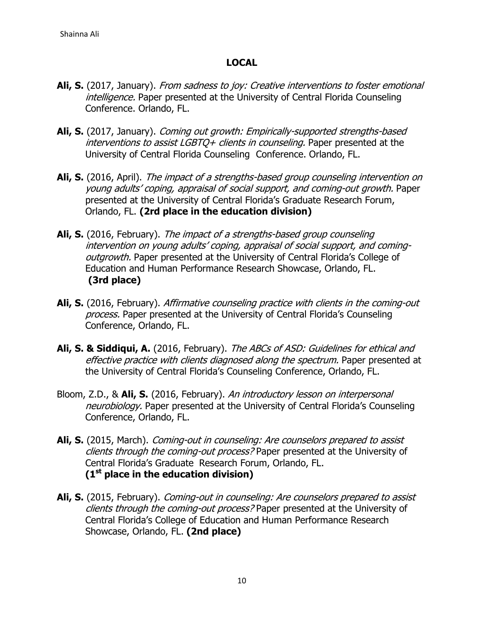#### **LOCAL**

- Ali, S. (2017, January). From sadness to joy: Creative interventions to foster emotional intelligence. Paper presented at the University of Central Florida Counseling Conference. Orlando, FL.
- **Ali, S.** (2017, January). Coming out growth: Empirically-supported strengths-based interventions to assist LGBTQ+ clients in counseling. Paper presented at the University of Central Florida Counseling Conference. Orlando, FL.
- **Ali, S.** (2016, April). The impact of a strengths-based group counseling intervention on young adults' coping, appraisal of social support, and coming-out growth. Paper presented at the University of Central Florida's Graduate Research Forum, Orlando, FL. **(2rd place in the education division)**
- **Ali, S.** (2016, February). The impact of a strengths-based group counseling intervention on young adults' coping, appraisal of social support, and comingoutgrowth. Paper presented at the University of Central Florida's College of Education and Human Performance Research Showcase, Orlando, FL. **(3rd place)**
- **Ali, S.** (2016, February). Affirmative counseling practice with clients in the coming-out process. Paper presented at the University of Central Florida's Counseling Conference, Orlando, FL.
- **Ali, S. & Siddiqui, A.** (2016, February). The ABCs of ASD: Guidelines for ethical and effective practice with clients diagnosed along the spectrum. Paper presented at the University of Central Florida's Counseling Conference, Orlando, FL.
- Bloom, Z.D., & **Ali, S.** (2016, February). An introductory lesson on interpersonal neurobiology. Paper presented at the University of Central Florida's Counseling Conference, Orlando, FL.
- **Ali, S.** (2015, March). Coming-out in counseling: Are counselors prepared to assist clients through the coming-out process? Paper presented at the University of Central Florida's Graduate Research Forum, Orlando, FL. **(1st place in the education division)**
- **Ali, S.** (2015, February). Coming-out in counseling: Are counselors prepared to assist clients through the coming-out process? Paper presented at the University of Central Florida's College of Education and Human Performance Research Showcase, Orlando, FL. **(2nd place)**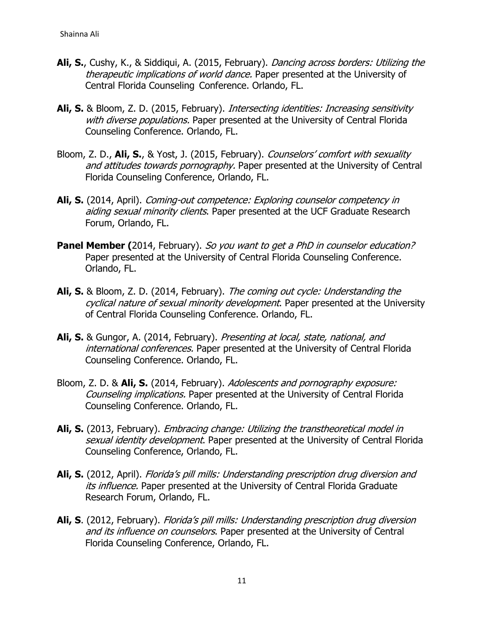- **Ali, S.**, Cushy, K., & Siddiqui, A. (2015, February). Dancing across borders: Utilizing the therapeutic implications of world dance. Paper presented at the University of Central Florida Counseling Conference. Orlando, FL.
- Ali, S. & Bloom, Z. D. (2015, February). *Intersecting identities: Increasing sensitivity* with diverse populations. Paper presented at the University of Central Florida Counseling Conference. Orlando, FL.
- Bloom, Z. D., **Ali, S.**, & Yost, J. (2015, February). Counselors' comfort with sexuality and attitudes towards pornography. Paper presented at the University of Central Florida Counseling Conference, Orlando, FL.
- **Ali, S.** (2014, April). Coming-out competence: Exploring counselor competency in aiding sexual minority clients. Paper presented at the UCF Graduate Research Forum, Orlando, FL.
- **Panel Member (2014, February). So you want to get a PhD in counselor education?** Paper presented at the University of Central Florida Counseling Conference. Orlando, FL.
- **Ali, S.** & Bloom, Z. D. (2014, February). The coming out cycle: Understanding the cyclical nature of sexual minority development. Paper presented at the University of Central Florida Counseling Conference. Orlando, FL.
- **Ali, S.** & Gungor, A. (2014, February). Presenting at local, state, national, and international conferences. Paper presented at the University of Central Florida Counseling Conference. Orlando, FL.
- Bloom, Z. D. & **Ali, S.** (2014, February). Adolescents and pornography exposure: Counseling implications. Paper presented at the University of Central Florida Counseling Conference. Orlando, FL.
- **Ali, S.** (2013, February). Embracing change: Utilizing the transtheoretical model in sexual identity development. Paper presented at the University of Central Florida Counseling Conference, Orlando, FL.
- Ali, S. (2012, April). Florida's pill mills: Understanding prescription drug diversion and its influence. Paper presented at the University of Central Florida Graduate Research Forum, Orlando, FL.
- Ali, S. (2012, February). Florida's pill mills: Understanding prescription drug diversion and its influence on counselors. Paper presented at the University of Central Florida Counseling Conference, Orlando, FL.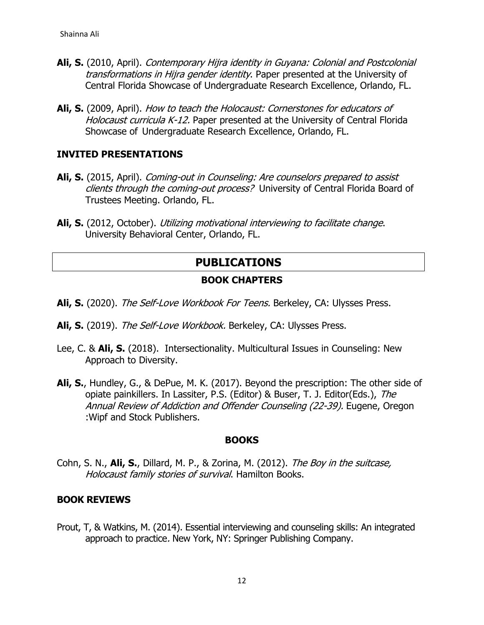- **Ali, S.** (2010, April). Contemporary Hijra identity in Guyana: Colonial and Postcolonial transformations in Hijra gender identity. Paper presented at the University of Central Florida Showcase of Undergraduate Research Excellence, Orlando, FL.
- **Ali, S.** (2009, April). How to teach the Holocaust: Cornerstones for educators of Holocaust curricula K-12. Paper presented at the University of Central Florida Showcase of Undergraduate Research Excellence, Orlando, FL.

#### **INVITED PRESENTATIONS**

- **Ali, S.** (2015, April). Coming-out in Counseling: Are counselors prepared to assist clients through the coming-out process? University of Central Florida Board of Trustees Meeting. Orlando, FL.
- **Ali, S.** (2012, October). Utilizing motivational interviewing to facilitate change. University Behavioral Center, Orlando, FL.

# **PUBLICATIONS**

#### **BOOK CHAPTERS**

- **Ali, S.** (2020). The Self-Love Workbook For Teens. Berkeley, CA: Ulysses Press.
- **Ali, S.** (2019). The Self-Love Workbook. Berkeley, CA: Ulysses Press.
- Lee, C. & **Ali, S.** (2018). Intersectionality. Multicultural Issues in Counseling: New Approach to Diversity.
- **Ali, S.**, Hundley, G., & DePue, M. K. (2017). Beyond the prescription: The other side of opiate painkillers. In Lassiter, P.S. (Editor) & Buser, T. J. Editor(Eds.), The Annual Review of Addiction and Offender Counseling (22-39). Eugene, Oregon :Wipf and Stock Publishers.

#### **BOOKS**

Cohn, S. N., **Ali, S.**, Dillard, M. P., & Zorina, M. (2012). The Boy in the suitcase, Holocaust family stories of survival. Hamilton Books.

#### **BOOK REVIEWS**

Prout, T, & Watkins, M. (2014). Essential interviewing and counseling skills: An integrated approach to practice. New York, NY: Springer Publishing Company.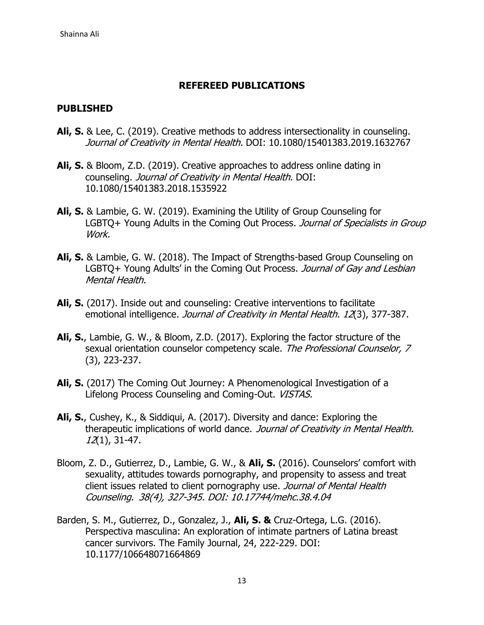#### **REFEREED PUBLICATIONS**

#### **PUBLISHED**

- **Ali, S.** & Lee, C. (2019). Creative methods to address intersectionality in counseling. Journal of Creativity in Mental Health. DOI: 10.1080/15401383.2019.1632767
- **Ali, S.** & Bloom, Z.D. (2019). Creative approaches to address online dating in counseling. Journal of Creativity in Mental Health. DOI: 10.1080/15401383.2018.1535922
- **Ali, S.** & Lambie, G. W. (2019). Examining the Utility of Group Counseling for LGBTQ+ Young Adults in the Coming Out Process. Journal of Specialists in Group Work.
- **Ali, S.** & Lambie, G. W. (2018). The Impact of Strengths-based Group Counseling on LGBTQ+ Young Adults' in the Coming Out Process. Journal of Gay and Lesbian Mental Health.
- **Ali, S.** (2017). Inside out and counseling: Creative interventions to facilitate emotional intelligence. Journal of Creativity in Mental Health. 12(3), 377-387.
- **Ali, S.**, Lambie, G. W., & Bloom, Z.D. (2017). Exploring the factor structure of the sexual orientation counselor competency scale. The Professional Counselor, 7 (3), 223-237.
- **Ali, S.** (2017) The Coming Out Journey: A Phenomenological Investigation of a Lifelong Process Counseling and Coming-Out. VISTAS.
- **Ali, S.**, Cushey, K., & Siddiqui, A. (2017). Diversity and dance: Exploring the therapeutic implications of world dance. Journal of Creativity in Mental Health. 12(1), 31-47.
- Bloom, Z. D., Gutierrez, D., Lambie, G. W., & **Ali, S.** (2016). Counselors' comfort with sexuality, attitudes towards pornography, and propensity to assess and treat client issues related to client pornography use. Journal of Mental Health Counseling. 38(4), 327-345. DOI: 10.17744/mehc.38.4.04
- Barden, S. M., Gutierrez, D., Gonzalez, J., **Ali, S. &** Cruz-Ortega, L.G. (2016). Perspectiva masculina: An exploration of intimate partners of Latina breast cancer survivors. The Family Journal, 24, 222-229. DOI: 10.1177/106648071664869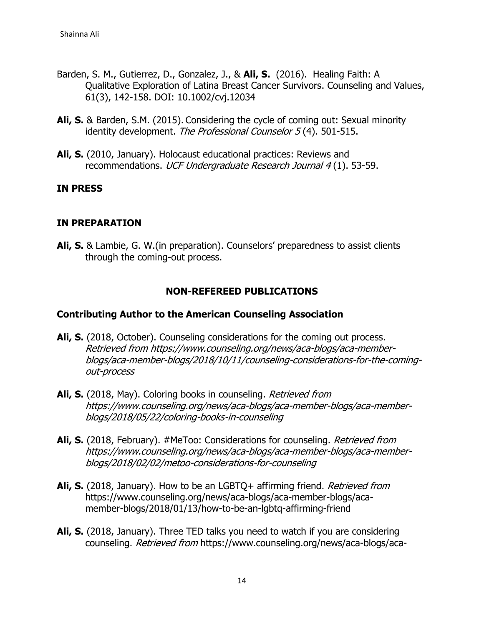- Barden, S. M., Gutierrez, D., Gonzalez, J., & **Ali, S.** (2016). Healing Faith: A Qualitative Exploration of Latina Breast Cancer Survivors. Counseling and Values, 61(3), 142-158. DOI: 10.1002/cvj.12034
- **Ali, S.** & Barden, S.M. (2015). Considering the cycle of coming out: Sexual minority identity development. The Professional Counselor 5(4). 501-515.
- **Ali, S.** (2010, January). Holocaust educational practices: Reviews and recommendations. UCF Undergraduate Research Journal 4(1). 53-59.

#### **IN PRESS**

#### **IN PREPARATION**

**Ali, S.** & Lambie, G. W.(in preparation). Counselors' preparedness to assist clients through the coming-out process.

#### **NON-REFEREED PUBLICATIONS**

#### **Contributing Author to the American Counseling Association**

- **Ali, S.** (2018, October). Counseling considerations for the coming out process. Retrieved from https://www.counseling.org/news/aca-blogs/aca-memberblogs/aca-member-blogs/2018/10/11/counseling-considerations-for-the-comingout-process
- **Ali, S.** (2018, May). Coloring books in counseling. *Retrieved from* https://www.counseling.org/news/aca-blogs/aca-member-blogs/aca-memberblogs/2018/05/22/coloring-books-in-counseling
- **Ali, S.** (2018, February). #MeToo: Considerations for counseling. Retrieved from https://www.counseling.org/news/aca-blogs/aca-member-blogs/aca-memberblogs/2018/02/02/metoo-considerations-for-counseling
- **Ali, S.** (2018, January). How to be an LGBTQ+ affirming friend. Retrieved from https://www.counseling.org/news/aca-blogs/aca-member-blogs/acamember-blogs/2018/01/13/how-to-be-an-lgbtq-affirming-friend
- **Ali, S.** (2018, January). Three TED talks you need to watch if you are considering counseling. Retrieved from https://www.counseling.org/news/aca-blogs/aca-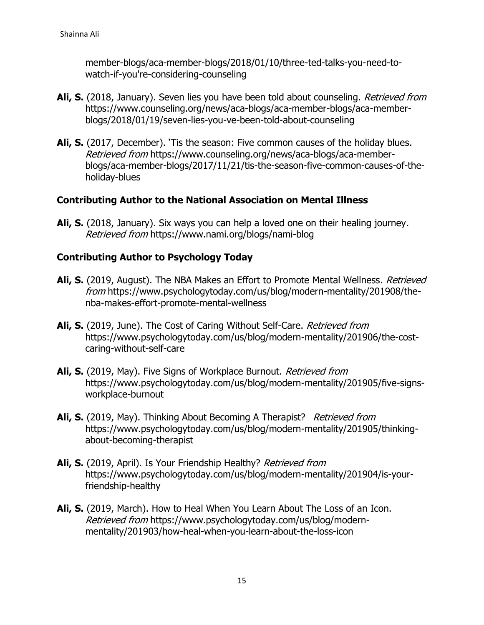member-blogs/aca-member-blogs/2018/01/10/three-ted-talks-you-need-towatch-if-you're-considering-counseling

- Ali, S. (2018, January). Seven lies you have been told about counseling. Retrieved from https://www.counseling.org/news/aca-blogs/aca-member-blogs/aca-memberblogs/2018/01/19/seven-lies-you-ve-been-told-about-counseling
- **Ali, S.** (2017, December). 'Tis the season: Five common causes of the holiday blues. Retrieved from https://www.counseling.org/news/aca-blogs/aca-memberblogs/aca-member-blogs/2017/11/21/tis-the-season-five-common-causes-of-theholiday-blues

#### **Contributing Author to the National Association on Mental Illness**

**Ali, S.** (2018, January). Six ways you can help a loved one on their healing journey. Retrieved from https://www.nami.org/blogs/nami-blog

### **Contributing Author to Psychology Today**

- Ali, S. (2019, August). The NBA Makes an Effort to Promote Mental Wellness. Retrieved from https://www.psychologytoday.com/us/blog/modern-mentality/201908/thenba-makes-effort-promote-mental-wellness
- **Ali, S.** (2019, June). The Cost of Caring Without Self-Care. Retrieved from https://www.psychologytoday.com/us/blog/modern-mentality/201906/the-costcaring-without-self-care
- **Ali, S.** (2019, May). Five Signs of Workplace Burnout. Retrieved from [https://www.psychologytoday.com/us/blog/modern-mentality/201905/five-signs](https://www.psychologytoday.com/us/blog/modern-mentality/201905/five-signs-)workplace-burnout
- Ali, S. (2019, May). Thinking About Becoming A Therapist? Retrieved from https://www.psychologytoday.com/us/blog/modern-mentality/201905/thinkingabout-becoming-therapist
- Ali, S. (2019, April). Is Your Friendship Healthy? Retrieved from https://www.psychologytoday.com/us/blog/modern-mentality/201904/is-yourfriendship-healthy
- **Ali, S.** (2019, March). How to Heal When You Learn About The Loss of an Icon. Retrieved from [https://www.psychologytoday.com/us/blog/modern](https://www.psychologytoday.com/us/blog/modern-)mentality/201903/how-heal-when-you-learn-about-the-loss-icon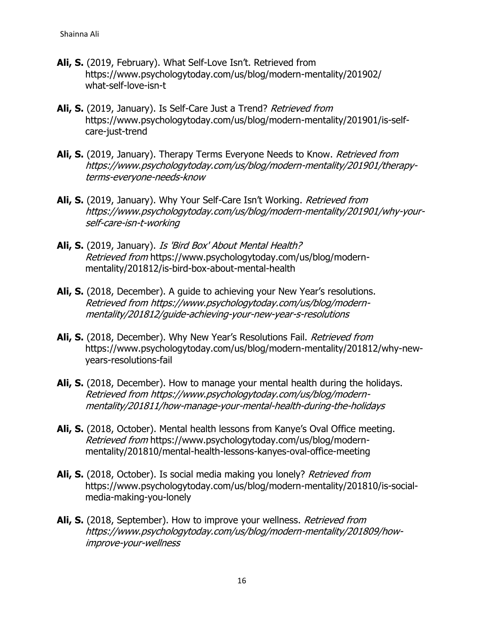- **Ali, S.** (2019, February). What Self-Love Isn't. Retrieved from <https://www.psychologytoday.com/us/blog/modern-mentality/201902/> what-self-love-isn-t
- **Ali, S.** (2019, January). Is Self-Care Just a Trend? Retrieved from https://www.psychologytoday.com/us/blog/modern-mentality/201901/is-selfcare-just-trend
- Ali, S. (2019, January). Therapy Terms Everyone Needs to Know. Retrieved from [https://www.psychologytoday.com/us/blog/modern-mentality/201901/therapy](https://www.psychologytoday.com/us/blog/modern-mentality/201901/therapy-)terms-everyone-needs-know
- **Ali, S.** (2019, January). Why Your Self-Care Isn't Working. Retrieved from [https://www.psychologytoday.com/us/blog/modern-mentality/201901/why-your](https://www.psychologytoday.com/us/blog/modern-mentality/201901/why-your-)self-care-isn-t-working
- **Ali, S.** (2019, January). Is 'Bird Box' About Mental Health? Retrieved from [https://www.psychologytoday.com/us/blog/modern](https://www.psychologytoday.com/us/blog/modern-)mentality/201812/is-bird-box-about-mental-health
- **Ali, S.** (2018, December). A guide to achieving your New Year's resolutions. Retrieved from https://www.psychologytoday.com/us/blog/modernmentality/201812/guide-achieving-your-new-year-s-resolutions
- **Ali, S.** (2018, December). Why New Year's Resolutions Fail. Retrieved from https://www.psychologytoday.com/us/blog/modern-mentality/201812/why-newyears-resolutions-fail
- **Ali, S.** (2018, December). How to manage your mental health during the holidays. Retrieved from https://www.psychologytoday.com/us/blog/modernmentality/201811/how-manage-your-mental-health-during-the-holidays
- **Ali, S.** (2018, October). Mental health lessons from Kanye's Oval Office meeting. Retrieved from https://www.psychologytoday.com/us/blog/modernmentality/201810/mental-health-lessons-kanyes-oval-office-meeting
- **Ali, S.** (2018, October). Is social media making you lonely? Retrieved from https://www.psychologytoday.com/us/blog/modern-mentality/201810/is-socialmedia-making-you-lonely
- **Ali, S.** (2018, September). How to improve your wellness. *Retrieved from* https://www.psychologytoday.com/us/blog/modern-mentality/201809/howimprove-your-wellness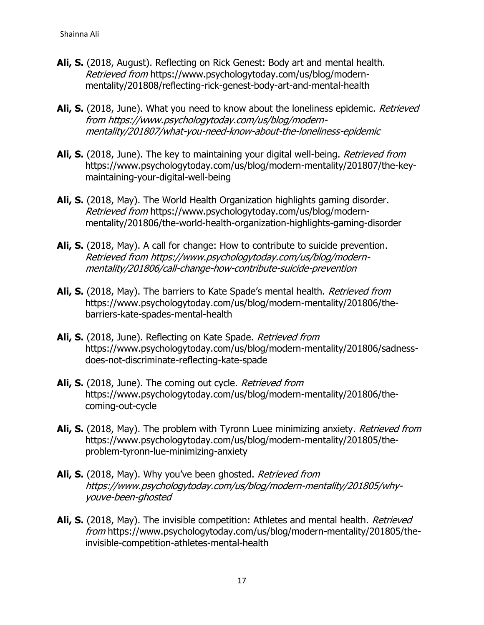- **Ali, S.** (2018, August). Reflecting on Rick Genest: Body art and mental health. Retrieved from https://www.psychologytoday.com/us/blog/modernmentality/201808/reflecting-rick-genest-body-art-and-mental-health
- **Ali, S.** (2018, June). What you need to know about the loneliness epidemic. Retrieved from https://www.psychologytoday.com/us/blog/modernmentality/201807/what-you-need-know-about-the-loneliness-epidemic
- **Ali, S.** (2018, June). The key to maintaining your digital well-being. *Retrieved from* https://www.psychologytoday.com/us/blog/modern-mentality/201807/the-keymaintaining-your-digital-well-being
- **Ali, S.** (2018, May). The World Health Organization highlights gaming disorder. Retrieved from https://www.psychologytoday.com/us/blog/modernmentality/201806/the-world-health-organization-highlights-gaming-disorder
- **Ali, S.** (2018, May). A call for change: How to contribute to suicide prevention. Retrieved from https://www.psychologytoday.com/us/blog/modernmentality/201806/call-change-how-contribute-suicide-prevention
- Ali, S. (2018, May). The barriers to Kate Spade's mental health. *Retrieved from* https://www.psychologytoday.com/us/blog/modern-mentality/201806/thebarriers-kate-spades-mental-health
- Ali, S. (2018, June). Reflecting on Kate Spade. Retrieved from https://www.psychologytoday.com/us/blog/modern-mentality/201806/sadnessdoes-not-discriminate-reflecting-kate-spade
- **Ali, S.** (2018, June). The coming out cycle. *Retrieved from* https://www.psychologytoday.com/us/blog/modern-mentality/201806/thecoming-out-cycle
- **Ali, S.** (2018, May). The problem with Tyronn Luee minimizing anxiety. *Retrieved from* https://www.psychologytoday.com/us/blog/modern-mentality/201805/theproblem-tyronn-lue-minimizing-anxiety
- **Ali, S.** (2018, May). Why you've been ghosted. Retrieved from https://www.psychologytoday.com/us/blog/modern-mentality/201805/whyyouve-been-ghosted
- **Ali, S.** (2018, May). The invisible competition: Athletes and mental health. *Retrieved* from https://www.psychologytoday.com/us/blog/modern-mentality/201805/theinvisible-competition-athletes-mental-health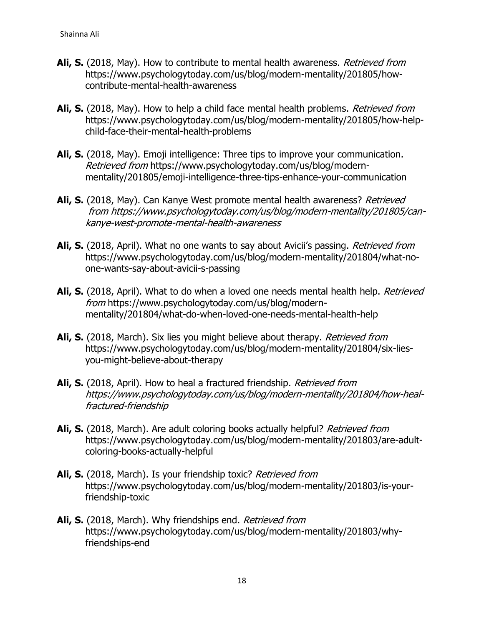- **Ali, S.** (2018, May). How to contribute to mental health awareness. Retrieved from https://www.psychologytoday.com/us/blog/modern-mentality/201805/howcontribute-mental-health-awareness
- **Ali, S.** (2018, May). How to help a child face mental health problems. *Retrieved from* https://www.psychologytoday.com/us/blog/modern-mentality/201805/how-helpchild-face-their-mental-health-problems
- **Ali, S.** (2018, May). Emoji intelligence: Three tips to improve your communication. Retrieved from https://www.psychologytoday.com/us/blog/modernmentality/201805/emoji-intelligence-three-tips-enhance-your-communication
- **Ali, S.** (2018, May). Can Kanye West promote mental health awareness? Retrieved from https://www.psychologytoday.com/us/blog/modern-mentality/201805/cankanye-west-promote-mental-health-awareness
- **Ali, S.** (2018, April). What no one wants to say about Avicii's passing. Retrieved from https://www.psychologytoday.com/us/blog/modern-mentality/201804/what-noone-wants-say-about-avicii-s-passing
- **Ali, S.** (2018, April). What to do when a loved one needs mental health help. Retrieved from https://www.psychologytoday.com/us/blog/modernmentality/201804/what-do-when-loved-one-needs-mental-health-help
- **Ali, S.** (2018, March). Six lies you might believe about therapy. Retrieved from https://www.psychologytoday.com/us/blog/modern-mentality/201804/six-liesyou-might-believe-about-therapy
- Ali, S. (2018, April). How to heal a fractured friendship. Retrieved from https://www.psychologytoday.com/us/blog/modern-mentality/201804/how-healfractured-friendship
- **Ali, S.** (2018, March). Are adult coloring books actually helpful? Retrieved from https://www.psychologytoday.com/us/blog/modern-mentality/201803/are-adultcoloring-books-actually-helpful
- **Ali, S.** (2018, March). Is your friendship toxic? Retrieved from https://www.psychologytoday.com/us/blog/modern-mentality/201803/is-yourfriendship-toxic
- Ali, S. (2018, March). Why friendships end. Retrieved from https://www.psychologytoday.com/us/blog/modern-mentality/201803/whyfriendships-end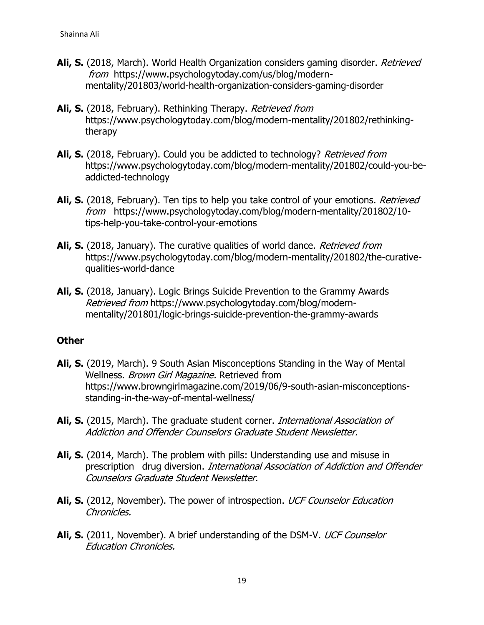- Ali, S. (2018, March). World Health Organization considers gaming disorder. Retrieved from https://www.psychologytoday.com/us/blog/modernmentality/201803/world-health-organization-considers-gaming-disorder
- **Ali, S.** (2018, February). Rethinking Therapy. Retrieved from https://www.psychologytoday.com/blog/modern-mentality/201802/rethinkingtherapy
- Ali, S. (2018, February). Could you be addicted to technology? Retrieved from https://www.psychologytoday.com/blog/modern-mentality/201802/could-you-beaddicted-technology
- **Ali, S.** (2018, February). Ten tips to help you take control of your emotions. *Retrieved* from https://www.psychologytoday.com/blog/modern-mentality/201802/10 tips-help-you-take-control-your-emotions
- **Ali, S.** (2018, January). The curative qualities of world dance. *Retrieved from* https://www.psychologytoday.com/blog/modern-mentality/201802/the-curativequalities-world-dance
- **Ali, S.** (2018, January). Logic Brings Suicide Prevention to the Grammy Awards Retrieved from https://www.psychologytoday.com/blog/modernmentality/201801/logic-brings-suicide-prevention-the-grammy-awards

### **Other**

- **Ali, S.** (2019, March). 9 South Asian Misconceptions Standing in the Way of Mental Wellness. Brown Girl Magazine. Retrieved from https://www.browngirlmagazine.com/2019/06/9-south-asian-misconceptionsstanding-in-the-way-of-mental-wellness/
- **Ali, S.** (2015, March). The graduate student corner. International Association of Addiction and Offender Counselors Graduate Student Newsletter.
- **Ali, S.** (2014, March). The problem with pills: Understanding use and misuse in prescription drug diversion. *International Association of Addiction and Offender* Counselors Graduate Student Newsletter.
- Ali, S. (2012, November). The power of introspection. UCF Counselor Education Chronicles.
- **Ali, S.** (2011, November). A brief understanding of the DSM-V. UCF Counselor Education Chronicles.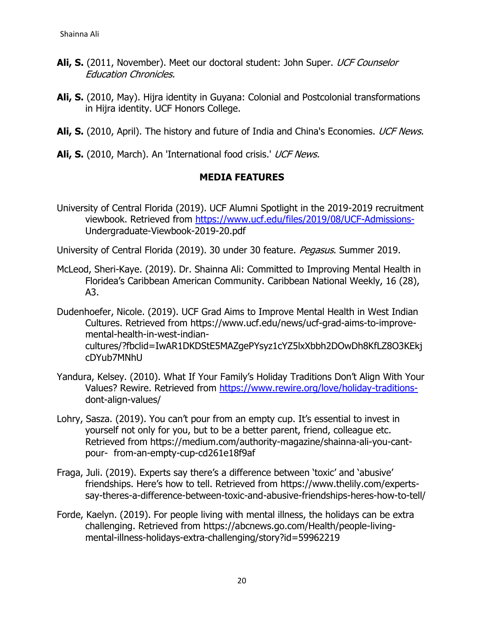- Ali, S. (2011, November). Meet our doctoral student: John Super. UCF Counselor Education Chronicles.
- **Ali, S.** (2010, May). Hijra identity in Guyana: Colonial and Postcolonial transformations in Hijra identity. UCF Honors College.
- **Ali, S.** (2010, April). The history and future of India and China's Economies. UCF News.
- **Ali, S.** (2010, March). An 'International food crisis.' UCF News.

#### **MEDIA FEATURES**

University of Central Florida (2019). UCF Alumni Spotlight in the 2019-2019 recruitment viewbook. Retrieved from<https://www.ucf.edu/files/2019/08/UCF-Admissions->Undergraduate-Viewbook-2019-20.pdf

University of Central Florida (2019). 30 under 30 feature. Pegasus. Summer 2019.

- McLeod, Sheri-Kaye. (2019). Dr. Shainna Ali: Committed to Improving Mental Health in Floridea's Caribbean American Community. Caribbean National Weekly, 16 (28), A3.
- Dudenhoefer, Nicole. (2019). UCF Grad Aims to Improve Mental Health in West Indian Cultures. Retrieved from https://www.ucf.edu/news/ucf-grad-aims-to-improvemental-health-in-west-indiancultures/?fbclid=IwAR1DKDStE5MAZgePYsyz1cYZ5lxXbbh2DOwDh8KfLZ8O3KEkj cDYub7MNhU
- Yandura, Kelsey. (2010). What If Your Family's Holiday Traditions Don't Align With Your Values? Rewire. Retrieved from [https://www.rewire.org/love/holiday-traditions](https://www.rewire.org/love/holiday-traditions-)dont-align-values/
- Lohry, Sasza. (2019). You can't pour from an empty cup. It's essential to invest in yourself not only for you, but to be a better parent, friend, colleague etc. Retrieved from https://medium.com/authority-magazine/shainna-ali-you-cantpour- from-an-empty-cup-cd261e18f9af
- Fraga, Juli. (2019). Experts say there's a difference between 'toxic' and 'abusive' friendships. Here's how to tell. Retrieved from https://www.thelily.com/expertssay-theres-a-difference-between-toxic-and-abusive-friendships-heres-how-to-tell/
- Forde, Kaelyn. (2019). For people living with mental illness, the holidays can be extra challenging. Retrieved from https://abcnews.go.com/Health/people-livingmental-illness-holidays-extra-challenging/story?id=59962219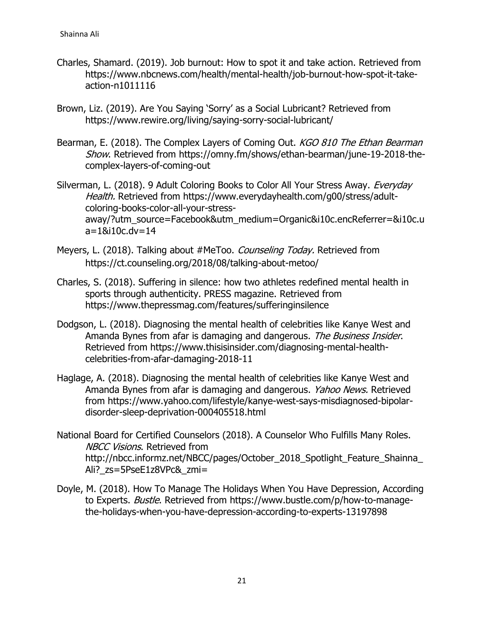- Charles, Shamard. (2019). Job burnout: How to spot it and take action. Retrieved from https://www.nbcnews.com/health/mental-health/job-burnout-how-spot-it-takeaction-n1011116
- Brown, Liz. (2019). Are You Saying 'Sorry' as a Social Lubricant? Retrieved from https://www.rewire.org/living/saying-sorry-social-lubricant/
- Bearman, E. (2018). The Complex Layers of Coming Out. KGO 810 The Ethan Bearman Show. Retrieved from [https://omny.fm/shows/ethan-bearman/june-19-2018-the](https://omny.fm/shows/ethan-bearman/june-19-2018-the-%09complex-layers-of-coming-out)[complex-layers-of-coming-out](https://omny.fm/shows/ethan-bearman/june-19-2018-the-%09complex-layers-of-coming-out)
- Silverman, L. (2018). 9 Adult Coloring Books to Color All Your Stress Away. Everyday Health. Retrieved from [https://www.everydayhealth.com/g00/stress/adult](https://www.everydayhealth.com/g00/stress/adult-%09coloring-books-color-all-your-stress-%09away/?utm_source=Facebook&utm_medium=Organic&i10c.encReferrer=&i10c.u%09a=1&i10c.dv=14)[coloring-books-color-all-your-stress](https://www.everydayhealth.com/g00/stress/adult-%09coloring-books-color-all-your-stress-%09away/?utm_source=Facebook&utm_medium=Organic&i10c.encReferrer=&i10c.u%09a=1&i10c.dv=14)[away/?utm\\_source=Facebook&utm\\_medium=Organic&i10c.encReferrer=&i10c.u](https://www.everydayhealth.com/g00/stress/adult-%09coloring-books-color-all-your-stress-%09away/?utm_source=Facebook&utm_medium=Organic&i10c.encReferrer=&i10c.u%09a=1&i10c.dv=14) [a=1&i10c.dv=14](https://www.everydayhealth.com/g00/stress/adult-%09coloring-books-color-all-your-stress-%09away/?utm_source=Facebook&utm_medium=Organic&i10c.encReferrer=&i10c.u%09a=1&i10c.dv=14)
- Meyers, L. (2018). Talking about #MeToo. Counseling Today. Retrieved from <https://ct.counseling.org/2018/08/talking-about-metoo/>
- Charles, S. (2018). Suffering in silence: how two athletes redefined mental health in sports through authenticity. PRESS magazine. Retrieved from <https://www.thepressmag.com/features/sufferinginsilence>
- Dodgson, L. (2018). Diagnosing the mental health of celebrities like Kanye West and Amanda Bynes from afar is damaging and dangerous. The Business Insider. Retrieved from [https://www.thisisinsider.com/diagnosing-mental-health](https://www.thisisinsider.com/diagnosing-mental-health-%09celebrities-from-afar-damaging-2018-11)[celebrities-from-afar-damaging-2018-11](https://www.thisisinsider.com/diagnosing-mental-health-%09celebrities-from-afar-damaging-2018-11)
- Haglage, A. (2018). Diagnosing the mental health of celebrities like Kanye West and Amanda Bynes from afar is damaging and dangerous. Yahoo News. Retrieved from [https://www.yahoo.com/lifestyle/kanye-west-says-misdiagnosed-bipolar](https://www.yahoo.com/lifestyle/kanye-west-says-misdiagnosed-bipolar-)disorder-sleep-deprivation-000405518.html
- National Board for Certified Counselors (2018). A Counselor Who Fulfills Many Roles. NBCC Visions. Retrieved from http://nbcc.informz.net/NBCC/pages/October\_2018\_Spotlight\_Feature\_Shainna Ali? zs=5PseE1z8VPc& zmi=
- Doyle, M. (2018). How To Manage The Holidays When You Have Depression, According to Experts. Bustle. Retrieved from [https://www.bustle.com/p/how-to-manage](https://www.bustle.com/p/how-to-manage-%09the-holidays-when-you-have-depression-according-to-experts-13197898)[the-holidays-when-you-have-depression-according-to-experts-13197898](https://www.bustle.com/p/how-to-manage-%09the-holidays-when-you-have-depression-according-to-experts-13197898)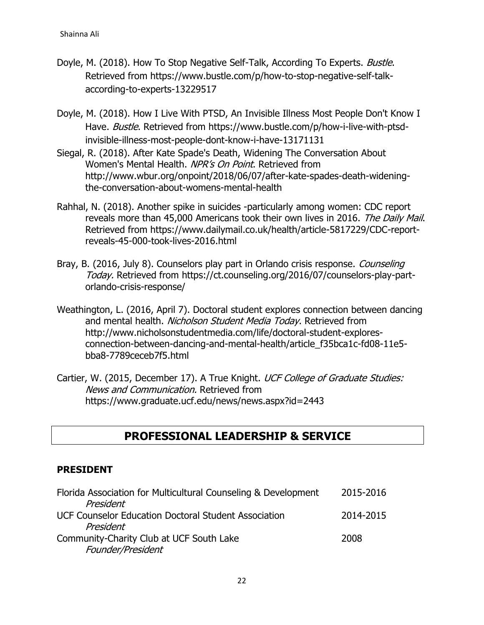- Doyle, M. (2018). How To Stop Negative Self-Talk, According To Experts. *Bustle*. Retrieved from [https://www.bustle.com/p/how-to-stop-negative-self-talk](https://www.bustle.com/p/how-to-stop-negative-self-talk-%09according-to-experts-13229517)[according-to-experts-13229517](https://www.bustle.com/p/how-to-stop-negative-self-talk-%09according-to-experts-13229517)
- Doyle, M. (2018). How I Live With PTSD, An Invisible Illness Most People Don't Know I Have. Bustle. Retrieved from https://www.bustle.com/p/how-i-live-with-ptsdinvisible-illness-most-people-dont-know-i-have-13171131
- Siegal, R. (2018). After Kate Spade's Death, Widening The Conversation About Women's Mental Health. NPR's On Point. Retrieved from http://www.wbur.org/onpoint/2018/06/07/after-kate-spades-death-wideningthe-conversation-about-womens-mental-health
- Rahhal, N. (2018). Another spike in suicides -particularly among women: CDC report reveals more than 45,000 Americans took their own lives in 2016. The Daily Mail. Retrieved from [https://www.dailymail.co.uk/health/article-5817229/CDC-report](https://www.dailymail.co.uk/health/article-5817229/CDC-report-%09reveals-45-000-took-lives-2016.html)[reveals-45-000-took-lives-2016.html](https://www.dailymail.co.uk/health/article-5817229/CDC-report-%09reveals-45-000-took-lives-2016.html)
- Bray, B. (2016, July 8). Counselors play part in Orlando crisis response. Counseling Today. Retrieved from https://ct.counseling.org/2016/07/counselors-play-partorlando-crisis-response/
- Weathington, L. (2016, April 7). Doctoral student explores connection between dancing and mental health. Nicholson Student Media Today. Retrieved from http://www.nicholsonstudentmedia.com/life/doctoral-student-exploresconnection-between-dancing-and-mental-health/article\_f35bca1c-fd08-11e5 bba8-7789ceceb7f5.html
- Cartier, W. (2015, December 17). A True Knight. UCF College of Graduate Studies: News and Communication. Retrieved from https://www.graduate.ucf.edu/news/news.aspx?id=2443

# **PROFESSIONAL LEADERSHIP & SERVICE**

### **PRESIDENT**

| Florida Association for Multicultural Counseling & Development | 2015-2016 |
|----------------------------------------------------------------|-----------|
| President                                                      |           |
| UCF Counselor Education Doctoral Student Association           | 2014-2015 |
| President                                                      |           |
| Community-Charity Club at UCF South Lake                       | 2008      |
| Founder/President                                              |           |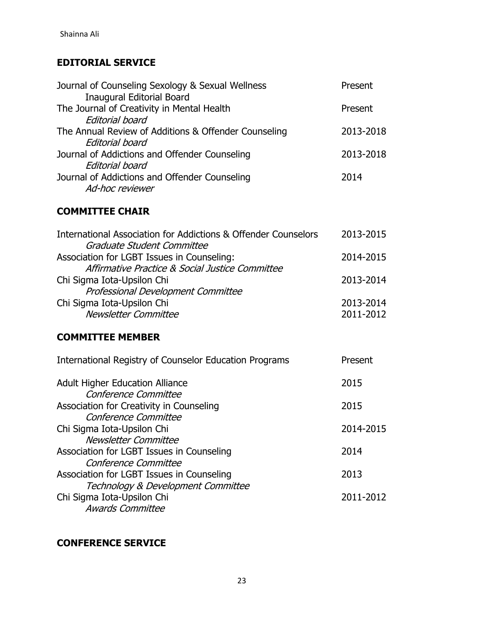# **EDITORIAL SERVICE**

| Journal of Counseling Sexology & Sexual Wellness                               | Present   |
|--------------------------------------------------------------------------------|-----------|
| <b>Inaugural Editorial Board</b><br>The Journal of Creativity in Mental Health | Present   |
| <b>Editorial board</b><br>The Annual Review of Additions & Offender Counseling | 2013-2018 |
| Editorial board                                                                |           |
| Journal of Addictions and Offender Counseling<br>Editorial board               | 2013-2018 |
| Journal of Addictions and Offender Counseling<br>Ad-hoc reviewer               | 2014      |

# **COMMITTEE CHAIR**

| International Association for Addictions & Offender Counselors | 2013-2015 |
|----------------------------------------------------------------|-----------|
| Graduate Student Committee                                     |           |
| Association for LGBT Issues in Counseling:                     | 2014-2015 |
| Affirmative Practice & Social Justice Committee                |           |
| Chi Sigma Iota-Upsilon Chi                                     | 2013-2014 |
| Professional Development Committee                             |           |
| Chi Sigma Iota-Upsilon Chi                                     | 2013-2014 |
| Newsletter Committee                                           | 2011-2012 |

### **COMMITTEE MEMBER**

| International Registry of Counselor Education Programs | Present   |
|--------------------------------------------------------|-----------|
| <b>Adult Higher Education Alliance</b>                 | 2015      |
| Conference Committee                                   |           |
| Association for Creativity in Counseling               | 2015      |
| Conference Committee                                   |           |
| Chi Sigma Iota-Upsilon Chi                             | 2014-2015 |
| Newsletter Committee                                   |           |
| Association for LGBT Issues in Counseling              | 2014      |
| Conference Committee                                   |           |
| Association for LGBT Issues in Counseling              | 2013      |
| Technology & Development Committee                     |           |
| Chi Sigma Iota-Upsilon Chi                             | 2011-2012 |
| <b>Awards Committee</b>                                |           |
|                                                        |           |

### **CONFERENCE SERVICE**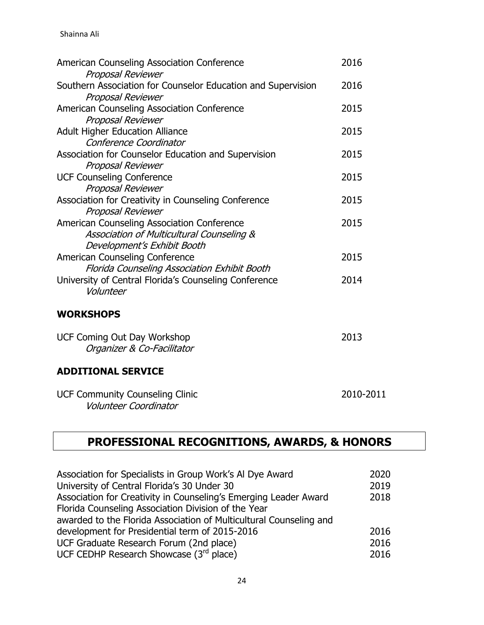| American Counseling Association Conference<br><b>Proposal Reviewer</b>                                                 | 2016      |
|------------------------------------------------------------------------------------------------------------------------|-----------|
| Southern Association for Counselor Education and Supervision                                                           | 2016      |
| <b>Proposal Reviewer</b><br>American Counseling Association Conference                                                 | 2015      |
| Proposal Reviewer<br><b>Adult Higher Education Alliance</b>                                                            | 2015      |
| Conference Coordinator                                                                                                 | 2015      |
| Association for Counselor Education and Supervision<br><b>Proposal Reviewer</b>                                        |           |
| <b>UCF Counseling Conference</b><br>Proposal Reviewer                                                                  | 2015      |
| Association for Creativity in Counseling Conference<br><b>Proposal Reviewer</b>                                        | 2015      |
| American Counseling Association Conference<br>Association of Multicultural Counseling &<br>Development's Exhibit Booth | 2015      |
| American Counseling Conference<br>Florida Counseling Association Exhibit Booth                                         | 2015      |
| University of Central Florida's Counseling Conference<br>Volunteer                                                     | 2014      |
| <b>WORKSHOPS</b>                                                                                                       |           |
| <b>UCF Coming Out Day Workshop</b><br>Organizer & Co-Facilitator                                                       | 2013      |
| <b>ADDITIONAL SERVICE</b>                                                                                              |           |
| <b>UCF Community Counseling Clinic</b>                                                                                 | 2010-2011 |

Volunteer Coordinator

# **PROFESSIONAL RECOGNITIONS, AWARDS, & HONORS**

| Association for Specialists in Group Work's Al Dye Award           | 2020 |
|--------------------------------------------------------------------|------|
| University of Central Florida's 30 Under 30                        | 2019 |
| Association for Creativity in Counseling's Emerging Leader Award   | 2018 |
| Florida Counseling Association Division of the Year                |      |
| awarded to the Florida Association of Multicultural Counseling and |      |
| development for Presidential term of 2015-2016                     | 2016 |
| UCF Graduate Research Forum (2nd place)                            | 2016 |
| UCF CEDHP Research Showcase (3rd place)                            | 2016 |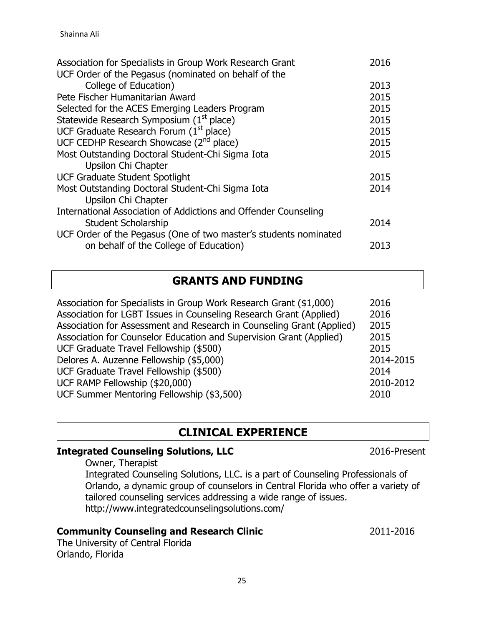| Association for Specialists in Group Work Research Grant         | 2016 |
|------------------------------------------------------------------|------|
| UCF Order of the Pegasus (nominated on behalf of the             |      |
| College of Education)                                            | 2013 |
| Pete Fischer Humanitarian Award                                  | 2015 |
| Selected for the ACES Emerging Leaders Program                   | 2015 |
| Statewide Research Symposium (1 <sup>st</sup> place)             | 2015 |
| UCF Graduate Research Forum $(1st$ place)                        | 2015 |
| UCF CEDHP Research Showcase $(2^{nd}$ place)                     | 2015 |
| Most Outstanding Doctoral Student-Chi Sigma Iota                 | 2015 |
| Upsilon Chi Chapter                                              |      |
| <b>UCF Graduate Student Spotlight</b>                            | 2015 |
| Most Outstanding Doctoral Student-Chi Sigma Iota                 | 2014 |
| Upsilon Chi Chapter                                              |      |
| International Association of Addictions and Offender Counseling  |      |
| <b>Student Scholarship</b>                                       | 2014 |
| UCF Order of the Pegasus (One of two master's students nominated |      |
| on behalf of the College of Education)                           | 2013 |

# **GRANTS AND FUNDING**

| 2016      |
|-----------|
| 2016      |
| 2015      |
| 2015      |
| 2015      |
| 2014-2015 |
| 2014      |
| 2010-2012 |
| 2010      |
|           |

# **CLINICAL EXPERIENCE**

#### **Integrated Counseling Solutions, LLC** 2016-Present

Owner, Therapist

Integrated Counseling Solutions, LLC. is a part of Counseling Professionals of Orlando, a dynamic group of counselors in Central Florida who offer a variety of tailored counseling services addressing a wide range of issues. http://www.integratedcounselingsolutions.com/

#### **Community Counseling and Research Clinic 2011-2016**

The University of Central Florida Orlando, Florida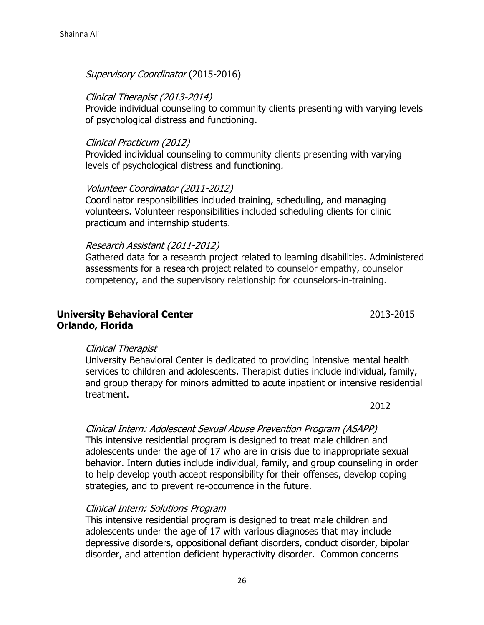Supervisory Coordinator (2015-2016)

#### Clinical Therapist (2013-2014)

Provide individual counseling to community clients presenting with varying levels of psychological distress and functioning.

#### Clinical Practicum (2012)

Provided individual counseling to community clients presenting with varying levels of psychological distress and functioning.

#### Volunteer Coordinator (2011-2012)

Coordinator responsibilities included training, scheduling, and managing volunteers. Volunteer responsibilities included scheduling clients for clinic practicum and internship students.

#### Research Assistant (2011-2012)

Gathered data for a research project related to learning disabilities. Administered assessments for a research project related to counselor empathy, counselor competency, and the supervisory relationship for counselors-in-training.

#### **University Behavioral Center** 2013-2015 **Orlando, Florida**

#### Clinical Therapist

University Behavioral Center is dedicated to providing intensive mental health services to children and adolescents. Therapist duties include individual, family, and group therapy for minors admitted to acute inpatient or intensive residential treatment.

2012

### Clinical Intern: Adolescent Sexual Abuse Prevention Program (ASAPP)

This intensive residential program is designed to treat male children and adolescents under the age of 17 who are in crisis due to inappropriate sexual behavior. Intern duties include individual, family, and group counseling in order to help develop youth accept responsibility for their offenses, develop coping strategies, and to prevent re-occurrence in the future.

#### Clinical Intern: Solutions Program

This intensive residential program is designed to treat male children and adolescents under the age of 17 with various diagnoses that may include depressive disorders, oppositional defiant disorders, conduct disorder, bipolar disorder, and attention deficient hyperactivity disorder. Common concerns